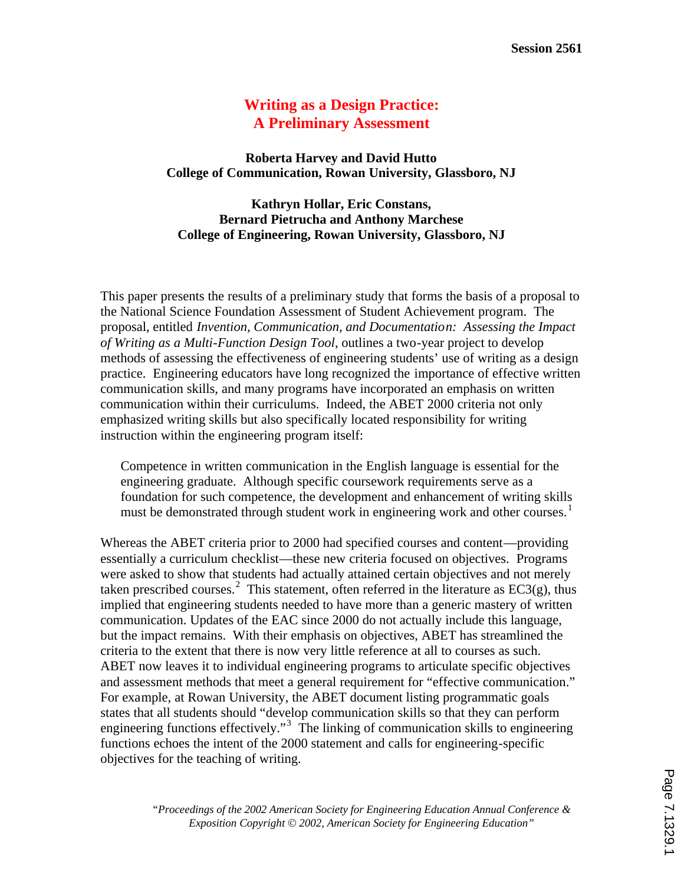# **Writing as a Design Practice: A Preliminary Assessment**

**Roberta Harvey and David Hutto College of Communication, Rowan University, Glassboro, NJ**

**Kathryn Hollar, Eric Constans, Bernard Pietrucha and Anthony Marchese College of Engineering, Rowan University, Glassboro, NJ**

This paper presents the results of a preliminary study that forms the basis of a proposal to the National Science Foundation Assessment of Student Achievement program. The proposal, entitled *Invention, Communication, and Documentation: Assessing the Impact of Writing as a Multi-Function Design Tool*, outlines a two-year project to develop methods of assessing the effectiveness of engineering students' use of writing as a design practice. Engineering educators have long recognized the importance of effective written communication skills, and many programs have incorporated an emphasis on written communication within their curriculums. Indeed, the ABET 2000 criteria not only emphasized writing skills but also specifically located responsibility for writing instruction within the engineering program itself:

Competence in written communication in the English language is essential for the engineering graduate. Although specific coursework requirements serve as a foundation for such competence, the development and enhancement of writing skills must be demonstrated through student work in engineering work and other courses.<sup>1</sup>

Whereas the ABET criteria prior to 2000 had specified courses and content—providing essentially a curriculum checklist—these new criteria focused on objectives. Programs were asked to show that students had actually attained certain objectives and not merely taken prescribed courses.<sup>2</sup> This statement, often referred in the literature as  $EC3(g)$ , thus implied that engineering students needed to have more than a generic mastery of written communication. Updates of the EAC since 2000 do not actually include this language, but the impact remains. With their emphasis on objectives, ABET has streamlined the criteria to the extent that there is now very little reference at all to courses as such. ABET now leaves it to individual engineering programs to articulate specific objectives and assessment methods that meet a general requirement for "effective communication." For example, at Rowan University, the ABET document listing programmatic goals states that all students should "develop communication skills so that they can perform engineering functions effectively."<sup>3</sup> The linking of communication skills to engineering functions echoes the intent of the 2000 statement and calls for engineering-specific objectives for the teaching of writing.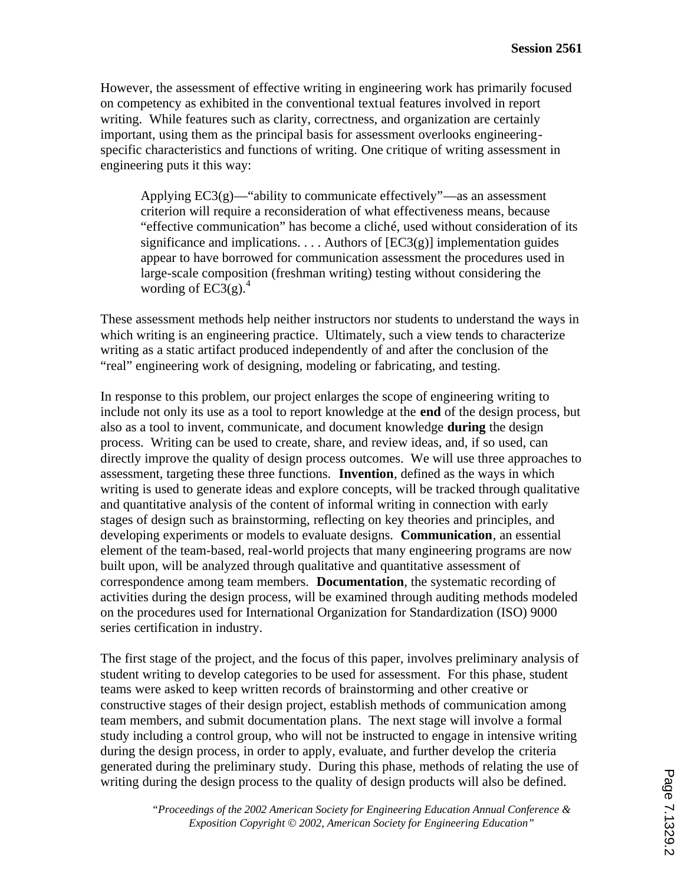However, the assessment of effective writing in engineering work has primarily focused on competency as exhibited in the conventional textual features involved in report writing. While features such as clarity, correctness, and organization are certainly important, using them as the principal basis for assessment overlooks engineeringspecific characteristics and functions of writing. One critique of writing assessment in engineering puts it this way:

Applying  $EC3(g)$ —"ability to communicate effectively"—as an assessment criterion will require a reconsideration of what effectiveness means, because "effective communication" has become a cliché, used without consideration of its significance and implications. . . . Authors of  $[EC3(g)]$  implementation guides appear to have borrowed for communication assessment the procedures used in large-scale composition (freshman writing) testing without considering the wording of  $EC3(g)$ .<sup>4</sup>

These assessment methods help neither instructors nor students to understand the ways in which writing is an engineering practice. Ultimately, such a view tends to characterize writing as a static artifact produced independently of and after the conclusion of the "real" engineering work of designing, modeling or fabricating, and testing.

In response to this problem, our project enlarges the scope of engineering writing to include not only its use as a tool to report knowledge at the **end** of the design process, but also as a tool to invent, communicate, and document knowledge **during** the design process. Writing can be used to create, share, and review ideas, and, if so used, can directly improve the quality of design process outcomes. We will use three approaches to assessment, targeting these three functions. **Invention**, defined as the ways in which writing is used to generate ideas and explore concepts, will be tracked through qualitative and quantitative analysis of the content of informal writing in connection with early stages of design such as brainstorming, reflecting on key theories and principles, and developing experiments or models to evaluate designs. **Communication**, an essential element of the team-based, real-world projects that many engineering programs are now built upon, will be analyzed through qualitative and quantitative assessment of correspondence among team members. **Documentation**, the systematic recording of activities during the design process, will be examined through auditing methods modeled on the procedures used for International Organization for Standardization (ISO) 9000 series certification in industry.

The first stage of the project, and the focus of this paper, involves preliminary analysis of student writing to develop categories to be used for assessment. For this phase, student teams were asked to keep written records of brainstorming and other creative or constructive stages of their design project, establish methods of communication among team members, and submit documentation plans. The next stage will involve a formal study including a control group, who will not be instructed to engage in intensive writing during the design process, in order to apply, evaluate, and further develop the criteria generated during the preliminary study. During this phase, methods of relating the use of writing during the design process to the quality of design products will also be defined.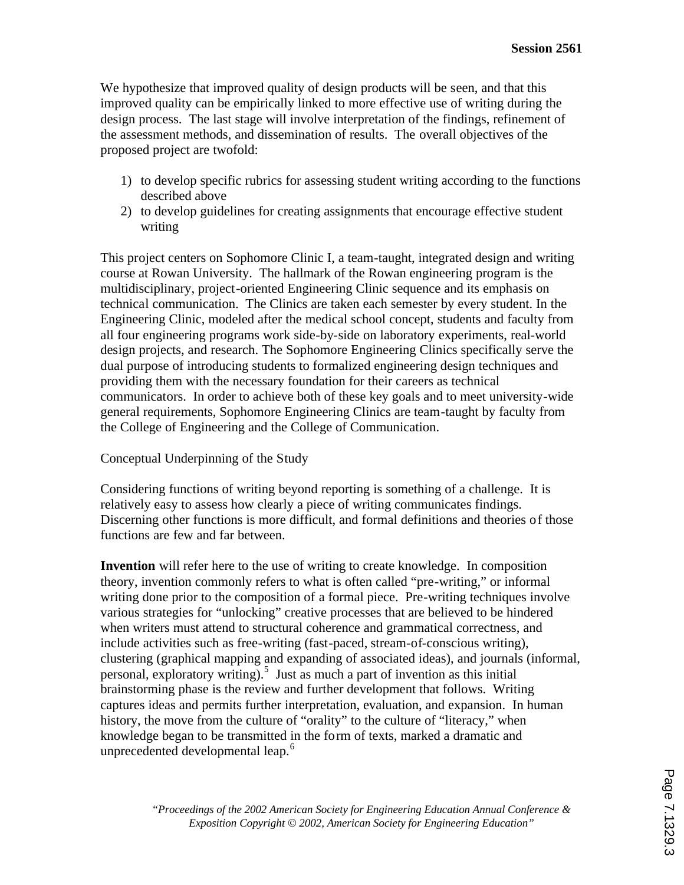We hypothesize that improved quality of design products will be seen, and that this improved quality can be empirically linked to more effective use of writing during the design process. The last stage will involve interpretation of the findings, refinement of the assessment methods, and dissemination of results. The overall objectives of the proposed project are twofold:

- 1) to develop specific rubrics for assessing student writing according to the functions described above
- 2) to develop guidelines for creating assignments that encourage effective student writing

This project centers on Sophomore Clinic I, a team-taught, integrated design and writing course at Rowan University. The hallmark of the Rowan engineering program is the multidisciplinary, project-oriented Engineering Clinic sequence and its emphasis on technical communication. The Clinics are taken each semester by every student. In the Engineering Clinic, modeled after the medical school concept, students and faculty from all four engineering programs work side-by-side on laboratory experiments, real-world design projects, and research. The Sophomore Engineering Clinics specifically serve the dual purpose of introducing students to formalized engineering design techniques and providing them with the necessary foundation for their careers as technical communicators. In order to achieve both of these key goals and to meet university-wide general requirements, Sophomore Engineering Clinics are team-taught by faculty from the College of Engineering and the College of Communication.

#### Conceptual Underpinning of the Study

Considering functions of writing beyond reporting is something of a challenge. It is relatively easy to assess how clearly a piece of writing communicates findings. Discerning other functions is more difficult, and formal definitions and theories of those functions are few and far between.

**Invention** will refer here to the use of writing to create knowledge. In composition theory, invention commonly refers to what is often called "pre-writing," or informal writing done prior to the composition of a formal piece. Pre-writing techniques involve various strategies for "unlocking" creative processes that are believed to be hindered when writers must attend to structural coherence and grammatical correctness, and include activities such as free-writing (fast-paced, stream-of-conscious writing), clustering (graphical mapping and expanding of associated ideas), and journals (informal, personal, exploratory writing).<sup>5</sup> Just as much a part of invention as this initial brainstorming phase is the review and further development that follows. Writing captures ideas and permits further interpretation, evaluation, and expansion. In human history, the move from the culture of "orality" to the culture of "literacy," when knowledge began to be transmitted in the form of texts, marked a dramatic and unprecedented developmental leap.<sup>6</sup>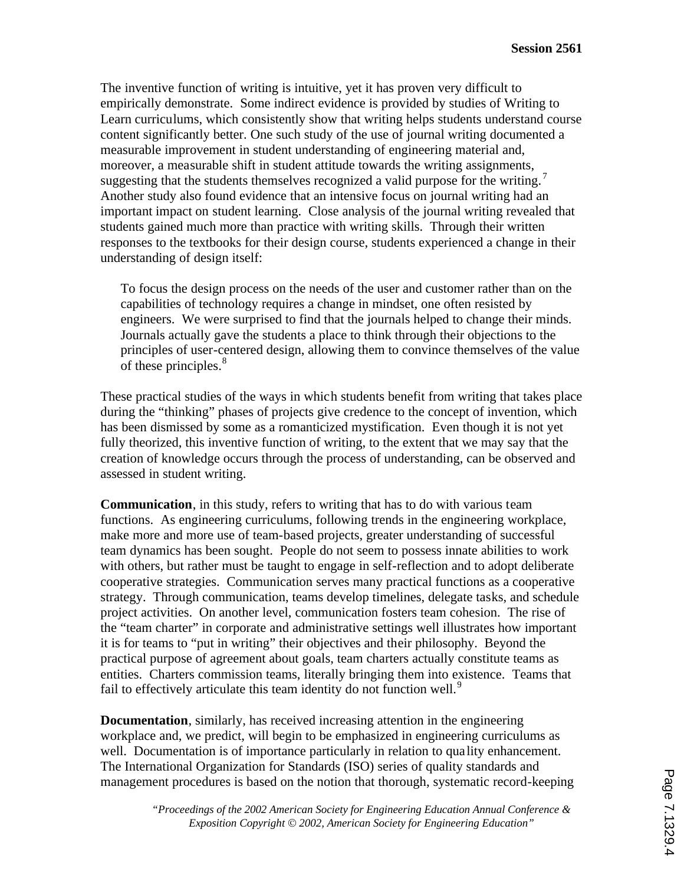The inventive function of writing is intuitive, yet it has proven very difficult to empirically demonstrate. Some indirect evidence is provided by studies of Writing to Learn curriculums, which consistently show that writing helps students understand course content significantly better. One such study of the use of journal writing documented a measurable improvement in student understanding of engineering material and, moreover, a measurable shift in student attitude towards the writing assignments, suggesting that the students themselves recognized a valid purpose for the writing.<sup>7</sup> Another study also found evidence that an intensive focus on journal writing had an important impact on student learning. Close analysis of the journal writing revealed that students gained much more than practice with writing skills. Through their written responses to the textbooks for their design course, students experienced a change in their understanding of design itself:

To focus the design process on the needs of the user and customer rather than on the capabilities of technology requires a change in mindset, one often resisted by engineers. We were surprised to find that the journals helped to change their minds. Journals actually gave the students a place to think through their objections to the principles of user-centered design, allowing them to convince themselves of the value of these principles.<sup>8</sup>

These practical studies of the ways in which students benefit from writing that takes place during the "thinking" phases of projects give credence to the concept of invention, which has been dismissed by some as a romanticized mystification. Even though it is not yet fully theorized, this inventive function of writing, to the extent that we may say that the creation of knowledge occurs through the process of understanding, can be observed and assessed in student writing.

**Communication**, in this study, refers to writing that has to do with various team functions. As engineering curriculums, following trends in the engineering workplace, make more and more use of team-based projects, greater understanding of successful team dynamics has been sought. People do not seem to possess innate abilities to work with others, but rather must be taught to engage in self-reflection and to adopt deliberate cooperative strategies. Communication serves many practical functions as a cooperative strategy. Through communication, teams develop timelines, delegate tasks, and schedule project activities. On another level, communication fosters team cohesion. The rise of the "team charter" in corporate and administrative settings well illustrates how important it is for teams to "put in writing" their objectives and their philosophy. Beyond the practical purpose of agreement about goals, team charters actually constitute teams as entities. Charters commission teams, literally bringing them into existence. Teams that fail to effectively articulate this team identity do not function well.<sup>9</sup>

**Documentation**, similarly, has received increasing attention in the engineering workplace and, we predict, will begin to be emphasized in engineering curriculums as well. Documentation is of importance particularly in relation to quality enhancement. The International Organization for Standards (ISO) series of quality standards and management procedures is based on the notion that thorough, systematic record-keeping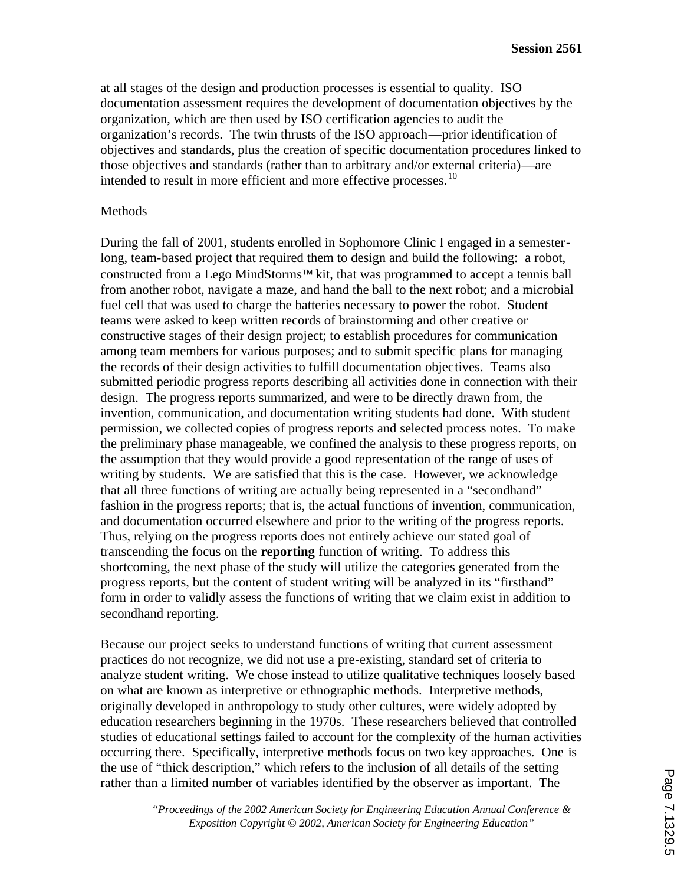at all stages of the design and production processes is essential to quality. ISO documentation assessment requires the development of documentation objectives by the organization, which are then used by ISO certification agencies to audit the organization's records. The twin thrusts of the ISO approach—prior identification of objectives and standards, plus the creation of specific documentation procedures linked to those objectives and standards (rather than to arbitrary and/or external criteria)—are intended to result in more efficient and more effective processes.<sup>10</sup>

#### Methods

During the fall of 2001, students enrolled in Sophomore Clinic I engaged in a semesterlong, team-based project that required them to design and build the following: a robot, constructed from a Lego MindStorms<sup>™</sup> kit, that was programmed to accept a tennis ball from another robot, navigate a maze, and hand the ball to the next robot; and a microbial fuel cell that was used to charge the batteries necessary to power the robot. Student teams were asked to keep written records of brainstorming and other creative or constructive stages of their design project; to establish procedures for communication among team members for various purposes; and to submit specific plans for managing the records of their design activities to fulfill documentation objectives. Teams also submitted periodic progress reports describing all activities done in connection with their design. The progress reports summarized, and were to be directly drawn from, the invention, communication, and documentation writing students had done. With student permission, we collected copies of progress reports and selected process notes. To make the preliminary phase manageable, we confined the analysis to these progress reports, on the assumption that they would provide a good representation of the range of uses of writing by students. We are satisfied that this is the case. However, we acknowledge that all three functions of writing are actually being represented in a "secondhand" fashion in the progress reports; that is, the actual functions of invention, communication, and documentation occurred elsewhere and prior to the writing of the progress reports. Thus, relying on the progress reports does not entirely achieve our stated goal of transcending the focus on the **reporting** function of writing. To address this shortcoming, the next phase of the study will utilize the categories generated from the progress reports, but the content of student writing will be analyzed in its "firsthand" form in order to validly assess the functions of writing that we claim exist in addition to secondhand reporting.

Because our project seeks to understand functions of writing that current assessment practices do not recognize, we did not use a pre-existing, standard set of criteria to analyze student writing. We chose instead to utilize qualitative techniques loosely based on what are known as interpretive or ethnographic methods. Interpretive methods, originally developed in anthropology to study other cultures, were widely adopted by education researchers beginning in the 1970s. These researchers believed that controlled studies of educational settings failed to account for the complexity of the human activities occurring there. Specifically, interpretive methods focus on two key approaches. One is the use of "thick description," which refers to the inclusion of all details of the setting rather than a limited number of variables identified by the observer as important. The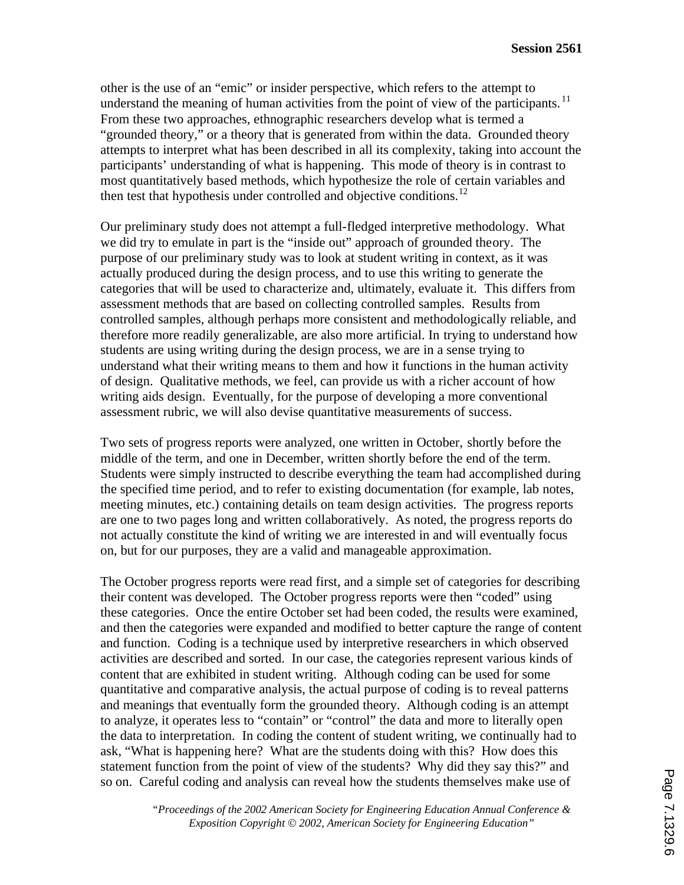other is the use of an "emic" or insider perspective, which refers to the attempt to understand the meaning of human activities from the point of view of the participants.<sup>11</sup> From these two approaches, ethnographic researchers develop what is termed a "grounded theory," or a theory that is generated from within the data. Grounded theory attempts to interpret what has been described in all its complexity, taking into account the participants' understanding of what is happening. This mode of theory is in contrast to most quantitatively based methods, which hypothesize the role of certain variables and then test that hypothesis under controlled and objective conditions.<sup>12</sup>

Our preliminary study does not attempt a full-fledged interpretive methodology. What we did try to emulate in part is the "inside out" approach of grounded theory. The purpose of our preliminary study was to look at student writing in context, as it was actually produced during the design process, and to use this writing to generate the categories that will be used to characterize and, ultimately, evaluate it. This differs from assessment methods that are based on collecting controlled samples. Results from controlled samples, although perhaps more consistent and methodologically reliable, and therefore more readily generalizable, are also more artificial. In trying to understand how students are using writing during the design process, we are in a sense trying to understand what their writing means to them and how it functions in the human activity of design. Qualitative methods, we feel, can provide us with a richer account of how writing aids design. Eventually, for the purpose of developing a more conventional assessment rubric, we will also devise quantitative measurements of success.

Two sets of progress reports were analyzed, one written in October, shortly before the middle of the term, and one in December, written shortly before the end of the term. Students were simply instructed to describe everything the team had accomplished during the specified time period, and to refer to existing documentation (for example, lab notes, meeting minutes, etc.) containing details on team design activities. The progress reports are one to two pages long and written collaboratively. As noted, the progress reports do not actually constitute the kind of writing we are interested in and will eventually focus on, but for our purposes, they are a valid and manageable approximation.

The October progress reports were read first, and a simple set of categories for describing their content was developed. The October progress reports were then "coded" using these categories. Once the entire October set had been coded, the results were examined, and then the categories were expanded and modified to better capture the range of content and function. Coding is a technique used by interpretive researchers in which observed activities are described and sorted. In our case, the categories represent various kinds of content that are exhibited in student writing. Although coding can be used for some quantitative and comparative analysis, the actual purpose of coding is to reveal patterns and meanings that eventually form the grounded theory. Although coding is an attempt to analyze, it operates less to "contain" or "control" the data and more to literally open the data to interpretation. In coding the content of student writing, we continually had to ask, "What is happening here? What are the students doing with this? How does this statement function from the point of view of the students? Why did they say this?" and so on. Careful coding and analysis can reveal how the students themselves make use of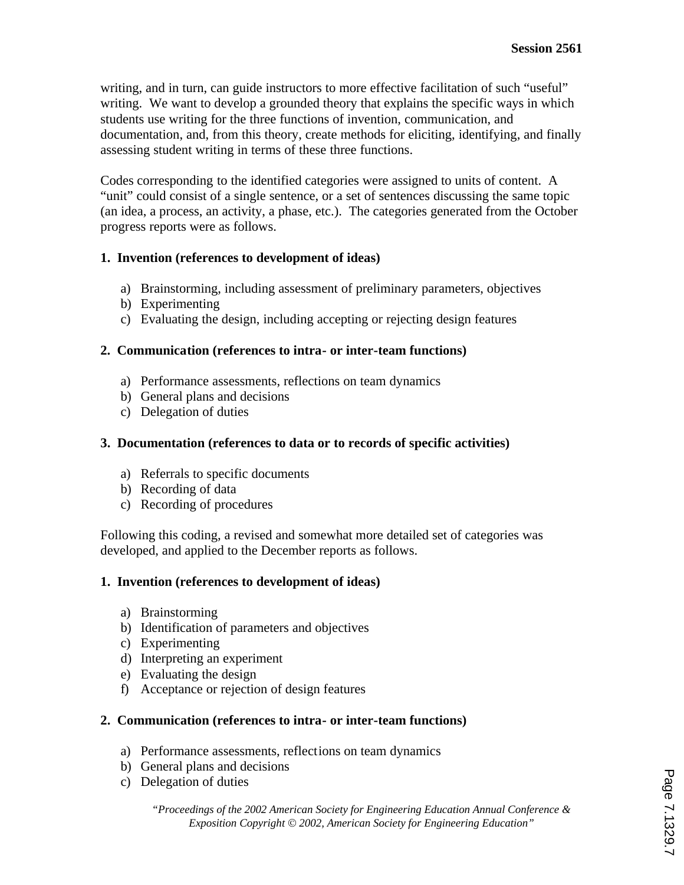writing, and in turn, can guide instructors to more effective facilitation of such "useful" writing. We want to develop a grounded theory that explains the specific ways in which students use writing for the three functions of invention, communication, and documentation, and, from this theory, create methods for eliciting, identifying, and finally assessing student writing in terms of these three functions.

Codes corresponding to the identified categories were assigned to units of content. A "unit" could consist of a single sentence, or a set of sentences discussing the same topic (an idea, a process, an activity, a phase, etc.). The categories generated from the October progress reports were as follows.

## **1. Invention (references to development of ideas)**

- a) Brainstorming, including assessment of preliminary parameters, objectives
- b) Experimenting
- c) Evaluating the design, including accepting or rejecting design features

## **2. Communication (references to intra- or inter-team functions)**

- a) Performance assessments, reflections on team dynamics
- b) General plans and decisions
- c) Delegation of duties

#### **3. Documentation (references to data or to records of specific activities)**

- a) Referrals to specific documents
- b) Recording of data
- c) Recording of procedures

Following this coding, a revised and somewhat more detailed set of categories was developed, and applied to the December reports as follows.

#### **1. Invention (references to development of ideas)**

- a) Brainstorming
- b) Identification of parameters and objectives
- c) Experimenting
- d) Interpreting an experiment
- e) Evaluating the design
- f) Acceptance or rejection of design features

#### **2. Communication (references to intra- or inter-team functions)**

- a) Performance assessments, reflections on team dynamics
- b) General plans and decisions
- c) Delegation of duties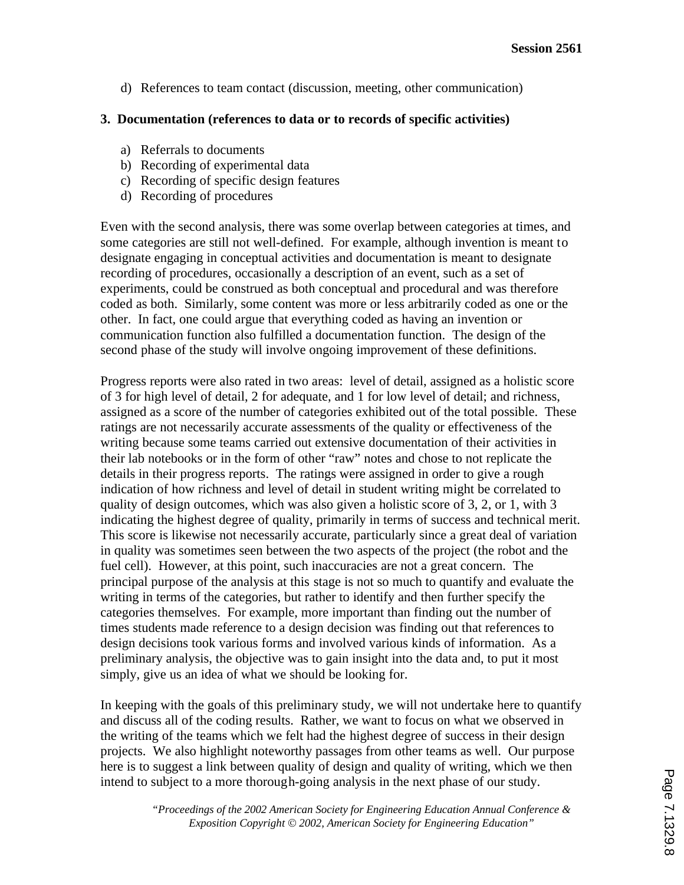d) References to team contact (discussion, meeting, other communication)

#### **3. Documentation (references to data or to records of specific activities)**

- a) Referrals to documents
- b) Recording of experimental data
- c) Recording of specific design features
- d) Recording of procedures

Even with the second analysis, there was some overlap between categories at times, and some categories are still not well-defined. For example, although invention is meant to designate engaging in conceptual activities and documentation is meant to designate recording of procedures, occasionally a description of an event, such as a set of experiments, could be construed as both conceptual and procedural and was therefore coded as both. Similarly, some content was more or less arbitrarily coded as one or the other. In fact, one could argue that everything coded as having an invention or communication function also fulfilled a documentation function. The design of the second phase of the study will involve ongoing improvement of these definitions.

Progress reports were also rated in two areas: level of detail, assigned as a holistic score of 3 for high level of detail, 2 for adequate, and 1 for low level of detail; and richness, assigned as a score of the number of categories exhibited out of the total possible. These ratings are not necessarily accurate assessments of the quality or effectiveness of the writing because some teams carried out extensive documentation of their activities in their lab notebooks or in the form of other "raw" notes and chose to not replicate the details in their progress reports. The ratings were assigned in order to give a rough indication of how richness and level of detail in student writing might be correlated to quality of design outcomes, which was also given a holistic score of 3, 2, or 1, with 3 indicating the highest degree of quality, primarily in terms of success and technical merit. This score is likewise not necessarily accurate, particularly since a great deal of variation in quality was sometimes seen between the two aspects of the project (the robot and the fuel cell). However, at this point, such inaccuracies are not a great concern. The principal purpose of the analysis at this stage is not so much to quantify and evaluate the writing in terms of the categories, but rather to identify and then further specify the categories themselves. For example, more important than finding out the number of times students made reference to a design decision was finding out that references to design decisions took various forms and involved various kinds of information. As a preliminary analysis, the objective was to gain insight into the data and, to put it most simply, give us an idea of what we should be looking for.

In keeping with the goals of this preliminary study, we will not undertake here to quantify and discuss all of the coding results. Rather, we want to focus on what we observed in the writing of the teams which we felt had the highest degree of success in their design projects. We also highlight noteworthy passages from other teams as well. Our purpose here is to suggest a link between quality of design and quality of writing, which we then intend to subject to a more thorough-going analysis in the next phase of our study.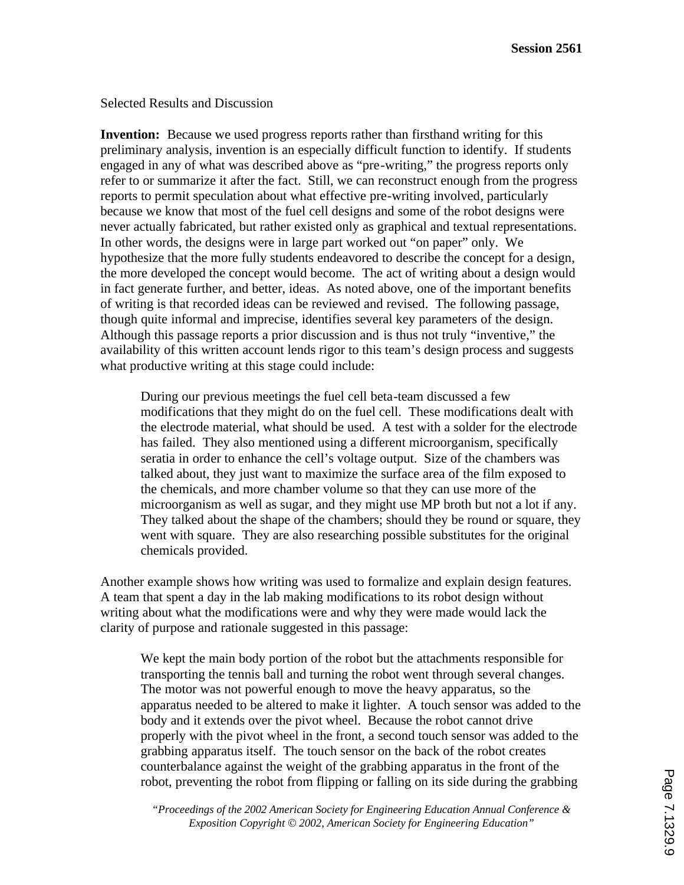Selected Results and Discussion

**Invention:** Because we used progress reports rather than firsthand writing for this preliminary analysis, invention is an especially difficult function to identify. If students engaged in any of what was described above as "pre-writing," the progress reports only refer to or summarize it after the fact. Still, we can reconstruct enough from the progress reports to permit speculation about what effective pre-writing involved, particularly because we know that most of the fuel cell designs and some of the robot designs were never actually fabricated, but rather existed only as graphical and textual representations. In other words, the designs were in large part worked out "on paper" only. We hypothesize that the more fully students endeavored to describe the concept for a design, the more developed the concept would become. The act of writing about a design would in fact generate further, and better, ideas. As noted above, one of the important benefits of writing is that recorded ideas can be reviewed and revised. The following passage, though quite informal and imprecise, identifies several key parameters of the design. Although this passage reports a prior discussion and is thus not truly "inventive," the availability of this written account lends rigor to this team's design process and suggests what productive writing at this stage could include:

During our previous meetings the fuel cell beta-team discussed a few modifications that they might do on the fuel cell. These modifications dealt with the electrode material, what should be used. A test with a solder for the electrode has failed. They also mentioned using a different microorganism, specifically seratia in order to enhance the cell's voltage output. Size of the chambers was talked about, they just want to maximize the surface area of the film exposed to the chemicals, and more chamber volume so that they can use more of the microorganism as well as sugar, and they might use MP broth but not a lot if any. They talked about the shape of the chambers; should they be round or square, they went with square. They are also researching possible substitutes for the original chemicals provided.

Another example shows how writing was used to formalize and explain design features. A team that spent a day in the lab making modifications to its robot design without writing about what the modifications were and why they were made would lack the clarity of purpose and rationale suggested in this passage:

We kept the main body portion of the robot but the attachments responsible for transporting the tennis ball and turning the robot went through several changes. The motor was not powerful enough to move the heavy apparatus, so the apparatus needed to be altered to make it lighter. A touch sensor was added to the body and it extends over the pivot wheel. Because the robot cannot drive properly with the pivot wheel in the front, a second touch sensor was added to the grabbing apparatus itself. The touch sensor on the back of the robot creates counterbalance against the weight of the grabbing apparatus in the front of the robot, preventing the robot from flipping or falling on its side during the grabbing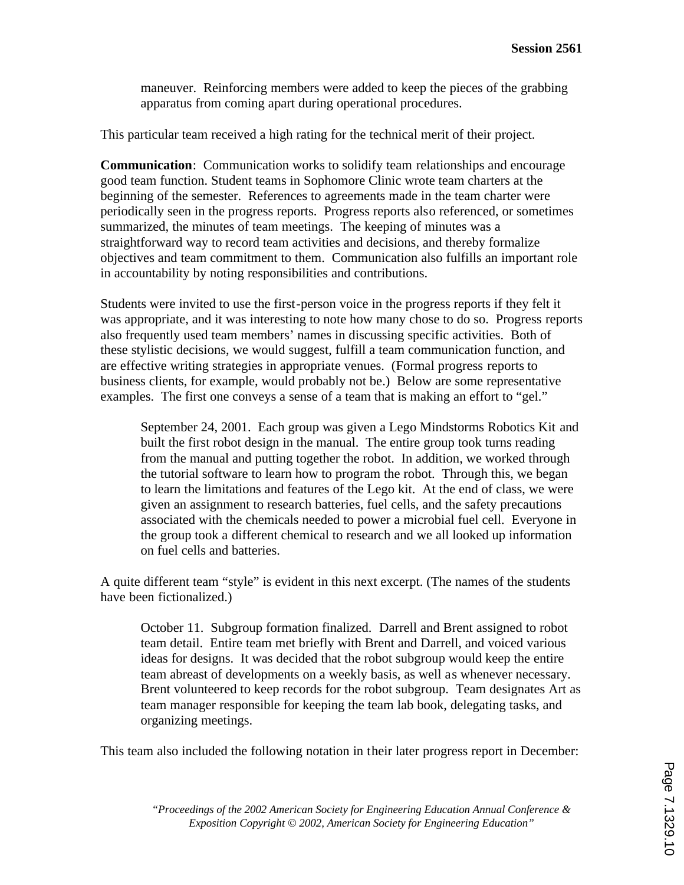maneuver. Reinforcing members were added to keep the pieces of the grabbing apparatus from coming apart during operational procedures.

This particular team received a high rating for the technical merit of their project.

**Communication**: Communication works to solidify team relationships and encourage good team function. Student teams in Sophomore Clinic wrote team charters at the beginning of the semester. References to agreements made in the team charter were periodically seen in the progress reports. Progress reports also referenced, or sometimes summarized, the minutes of team meetings. The keeping of minutes was a straightforward way to record team activities and decisions, and thereby formalize objectives and team commitment to them. Communication also fulfills an important role in accountability by noting responsibilities and contributions.

Students were invited to use the first-person voice in the progress reports if they felt it was appropriate, and it was interesting to note how many chose to do so. Progress reports also frequently used team members' names in discussing specific activities. Both of these stylistic decisions, we would suggest, fulfill a team communication function, and are effective writing strategies in appropriate venues. (Formal progress reports to business clients, for example, would probably not be.) Below are some representative examples. The first one conveys a sense of a team that is making an effort to "gel."

September 24, 2001. Each group was given a Lego Mindstorms Robotics Kit and built the first robot design in the manual. The entire group took turns reading from the manual and putting together the robot. In addition, we worked through the tutorial software to learn how to program the robot. Through this, we began to learn the limitations and features of the Lego kit. At the end of class, we were given an assignment to research batteries, fuel cells, and the safety precautions associated with the chemicals needed to power a microbial fuel cell. Everyone in the group took a different chemical to research and we all looked up information on fuel cells and batteries.

A quite different team "style" is evident in this next excerpt. (The names of the students have been fictionalized.)

October 11. Subgroup formation finalized. Darrell and Brent assigned to robot team detail. Entire team met briefly with Brent and Darrell, and voiced various ideas for designs. It was decided that the robot subgroup would keep the entire team abreast of developments on a weekly basis, as well as whenever necessary. Brent volunteered to keep records for the robot subgroup. Team designates Art as team manager responsible for keeping the team lab book, delegating tasks, and organizing meetings.

This team also included the following notation in their later progress report in December: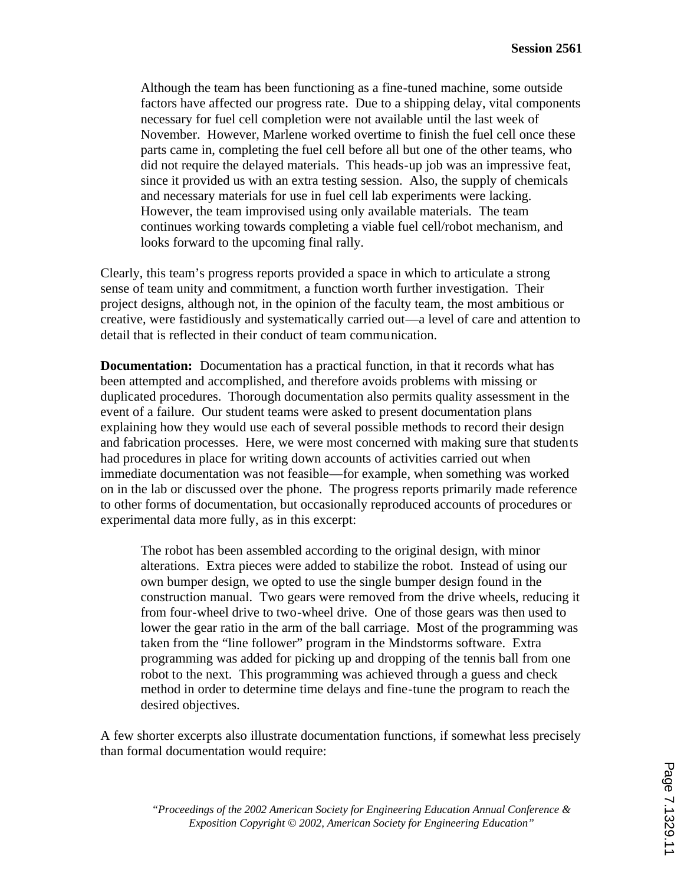Although the team has been functioning as a fine-tuned machine, some outside factors have affected our progress rate. Due to a shipping delay, vital components necessary for fuel cell completion were not available until the last week of November. However, Marlene worked overtime to finish the fuel cell once these parts came in, completing the fuel cell before all but one of the other teams, who did not require the delayed materials. This heads-up job was an impressive feat, since it provided us with an extra testing session. Also, the supply of chemicals and necessary materials for use in fuel cell lab experiments were lacking. However, the team improvised using only available materials. The team continues working towards completing a viable fuel cell/robot mechanism, and looks forward to the upcoming final rally.

Clearly, this team's progress reports provided a space in which to articulate a strong sense of team unity and commitment, a function worth further investigation. Their project designs, although not, in the opinion of the faculty team, the most ambitious or creative, were fastidiously and systematically carried out—a level of care and attention to detail that is reflected in their conduct of team communication.

**Documentation:** Documentation has a practical function, in that it records what has been attempted and accomplished, and therefore avoids problems with missing or duplicated procedures. Thorough documentation also permits quality assessment in the event of a failure. Our student teams were asked to present documentation plans explaining how they would use each of several possible methods to record their design and fabrication processes. Here, we were most concerned with making sure that students had procedures in place for writing down accounts of activities carried out when immediate documentation was not feasible—for example, when something was worked on in the lab or discussed over the phone. The progress reports primarily made reference to other forms of documentation, but occasionally reproduced accounts of procedures or experimental data more fully, as in this excerpt:

The robot has been assembled according to the original design, with minor alterations. Extra pieces were added to stabilize the robot. Instead of using our own bumper design, we opted to use the single bumper design found in the construction manual. Two gears were removed from the drive wheels, reducing it from four-wheel drive to two-wheel drive. One of those gears was then used to lower the gear ratio in the arm of the ball carriage. Most of the programming was taken from the "line follower" program in the Mindstorms software. Extra programming was added for picking up and dropping of the tennis ball from one robot to the next. This programming was achieved through a guess and check method in order to determine time delays and fine-tune the program to reach the desired objectives.

A few shorter excerpts also illustrate documentation functions, if somewhat less precisely than formal documentation would require: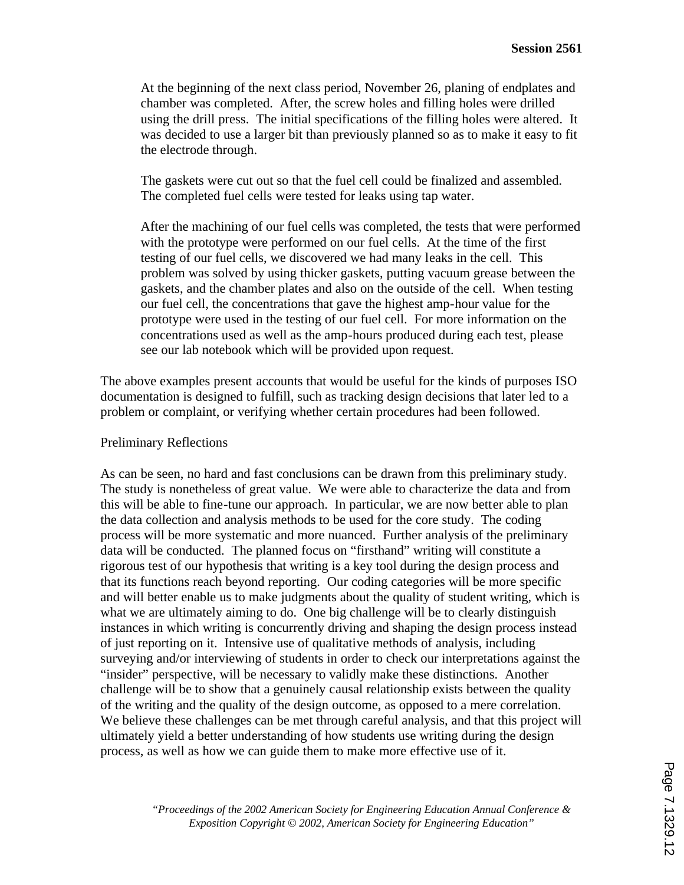At the beginning of the next class period, November 26, planing of endplates and chamber was completed. After, the screw holes and filling holes were drilled using the drill press. The initial specifications of the filling holes were altered. It was decided to use a larger bit than previously planned so as to make it easy to fit the electrode through.

The gaskets were cut out so that the fuel cell could be finalized and assembled. The completed fuel cells were tested for leaks using tap water.

After the machining of our fuel cells was completed, the tests that were performed with the prototype were performed on our fuel cells. At the time of the first testing of our fuel cells, we discovered we had many leaks in the cell. This problem was solved by using thicker gaskets, putting vacuum grease between the gaskets, and the chamber plates and also on the outside of the cell. When testing our fuel cell, the concentrations that gave the highest amp-hour value for the prototype were used in the testing of our fuel cell. For more information on the concentrations used as well as the amp-hours produced during each test, please see our lab notebook which will be provided upon request.

The above examples present accounts that would be useful for the kinds of purposes ISO documentation is designed to fulfill, such as tracking design decisions that later led to a problem or complaint, or verifying whether certain procedures had been followed.

#### Preliminary Reflections

As can be seen, no hard and fast conclusions can be drawn from this preliminary study. The study is nonetheless of great value. We were able to characterize the data and from this will be able to fine-tune our approach. In particular, we are now better able to plan the data collection and analysis methods to be used for the core study. The coding process will be more systematic and more nuanced. Further analysis of the preliminary data will be conducted. The planned focus on "firsthand" writing will constitute a rigorous test of our hypothesis that writing is a key tool during the design process and that its functions reach beyond reporting. Our coding categories will be more specific and will better enable us to make judgments about the quality of student writing, which is what we are ultimately aiming to do. One big challenge will be to clearly distinguish instances in which writing is concurrently driving and shaping the design process instead of just reporting on it. Intensive use of qualitative methods of analysis, including surveying and/or interviewing of students in order to check our interpretations against the "insider" perspective, will be necessary to validly make these distinctions. Another challenge will be to show that a genuinely causal relationship exists between the quality of the writing and the quality of the design outcome, as opposed to a mere correlation. We believe these challenges can be met through careful analysis, and that this project will ultimately yield a better understanding of how students use writing during the design process, as well as how we can guide them to make more effective use of it.